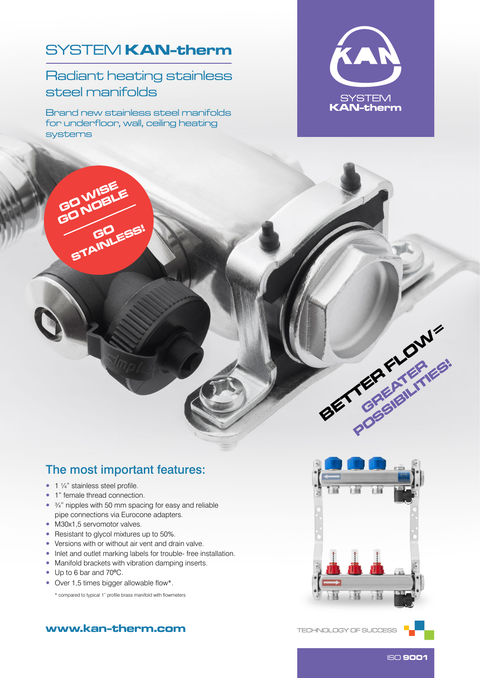## SYSTEM **KAN-therm**

Radiant heating stainless steel manifolds

Brand new stainless steel manifolds for underfloor, wall, ceiling heating systems





### The most important features:

- $\bullet$  1  $\frac{1}{4}$ " stainless steel profile.
- 1" female thread connection.
- 3/4" nipples with 50 mm spacing for easy and reliable pipe connections via Eurocone adapters.
- M30x1,5 servomotor valves.
- Resistant to glycol mixtures up to 50%.
- Versions with or without air vent and drain valve.
- Inlet and outlet marking labels for trouble- free installation.
- Manifold brackets with vibration damping inserts.
- Up to 6 bar and 70ºC.
- Over 1,5 times bigger allowable flow\*.

\* compared to typical 1" profile brass manifold with flowmeters



#### www.kan‑therm.com

TECHNOLOGY OF SUCCESS



ISO 9001